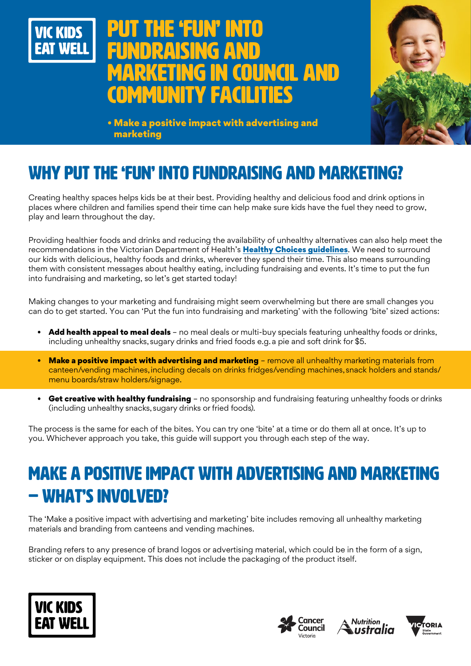

# **E 'FUN' INTO** fundraising and council and community facilities



• Make a positive impact with advertising and marketing

## WHY PUT THE 'FUN' INTO FUNDRAISING AND MARKETING?

Creating healthy spaces helps kids be at their best. Providing healthy and delicious food and drink options in places where children and families spend their time can help make sure kids have the fuel they need to grow, play and learn throughout the day.

Providing healthier foods and drinks and reducing the availability of unhealthy alternatives can also help meet the recommendations in the Victorian Department of Health's [Healthy Choices guidelines](https://www.health.vic.gov.au/preventive-health/healthy-choices). We need to surround our kids with delicious, healthy foods and drinks, wherever they spend their time. This also means surrounding them with consistent messages about healthy eating, including fundraising and events. It's time to put the fun into fundraising and marketing, so let's get started today!

Making changes to your marketing and fundraising might seem overwhelming but there are small changes you can do to get started. You can 'Put the fun into fundraising and marketing' with the following 'bite' sized actions:

- Add health appeal to meal deals no meal deals or multi-buy specials featuring unhealthy foods or drinks, including unhealthy snacks, sugary drinks and fried foods e.g. a pie and soft drink for \$5.
- Make a positive impact with advertising and marketing remove all unhealthy marketing materials from canteen/vending machines, including decals on drinks fridges/vending machines, snack holders and stands/ menu boards/straw holders/signage.
- Get creative with healthy fundraising no sponsorship and fundraising featuring unhealthy foods or drinks (including unhealthy snacks, sugary drinks or fried foods).

The process is the same for each of the bites. You can try one 'bite' at a time or do them all at once. It's up to you. Whichever approach you take, this guide will support you through each step of the way.

## MAKE A POSITIVE IMPACT WITH ADVERTISING AND MARKETING – WHAT'S INVOLVED?

The 'Make a positive impact with advertising and marketing' bite includes removing all unhealthy marketing materials and branding from canteens and vending machines.

Branding refers to any presence of brand logos or advertising material, which could be in the form of a sign, sticker or on display equipment. This does not include the packaging of the product itself.







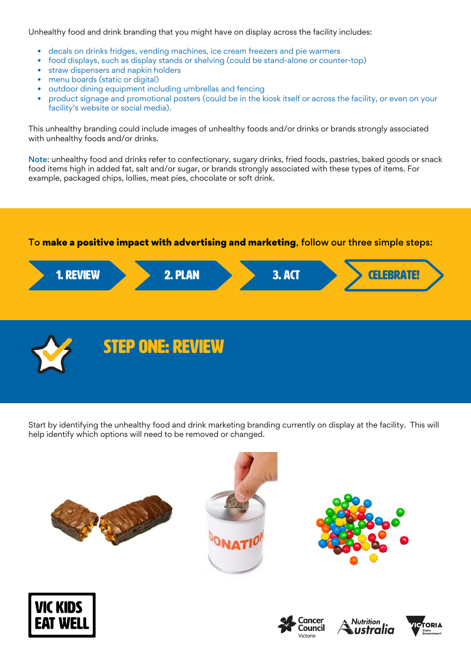Unhealthy food and drink branding that you might have on display across the facility includes:

- decals on drinks fridges, vending machines, ice cream freezers and pie warmers
- food displays, such as display stands or shelving (could be stand-alone or counter-top)
- straw dispensers and napkin holders
- menu boards (static or digital)
- outdoor dining equipment including umbrellas and fencing
- product signage and promotional posters (could be in the kiosk itself or across the facility, or even on your facility's website or social media).

This unhealthy branding could include images of unhealthy foods and/or drinks or brands strongly associated with unhealthy foods and/or drinks.

Note: unhealthy food and drinks refer to confectionary, sugary drinks, fried foods, pastries, baked goods or snack food items high in added fat, salt and/or sugar, or brands strongly associated with these types of items. For example, packaged chips, lollies, meat pies, chocolate or soft drink.

#### To make a positive impact with advertising and marketing, follow our three simple steps:





Start by identifying the unhealthy food and drink marketing branding currently on display at the facility. This will help identify which options will need to be removed or changed.













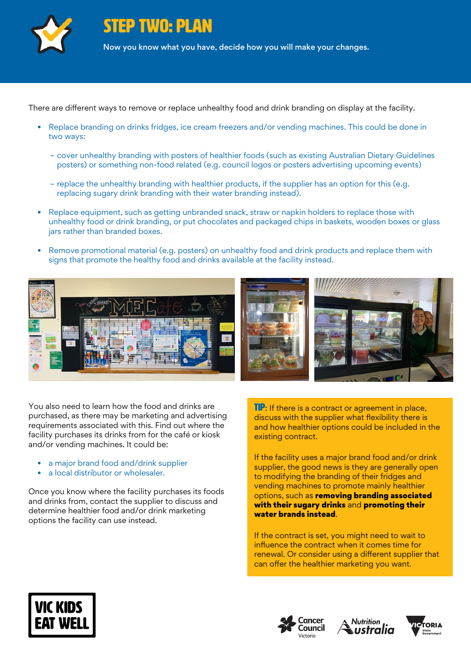

STEP TWO: PLAN

Now you know what you have, decide how you will make your changes.

There are different ways to remove or replace unhealthy food and drink branding on display at the facility.

- Replace branding on drinks fridges, ice cream freezers and/or vending machines. This could be done in two ways:
	- cover unhealthy branding with posters of healthier foods (such as existing Australian Dietary Guidelines posters) or something non-food related (e.g. council logos or posters advertising upcoming events)
	- replace the unhealthy branding with healthier products, if the supplier has an option for this (e.g. replacing sugary drink branding with their water branding instead).
- Replace equipment, such as getting unbranded snack, straw or napkin holders to replace those with unhealthy food or drink branding, or put chocolates and packaged chips in baskets, wooden boxes or glass jars rather than branded boxes.
- Remove promotional material (e.g. posters) on unhealthy food and drink products and replace them with signs that promote the healthy food and drinks available at the facility instead.



You also need to learn how the food and drinks are purchased, as there may be marketing and advertising requirements associated with this. Find out where the facility purchases its drinks from for the café or kiosk and/or vending machines. It could be:

- a major brand food and/drink supplier
- a local distributor or wholesaler.

Once you know where the facility purchases its foods and drinks from, contact the supplier to discuss and determine healthier food and/or drink marketing options the facility can use instead.

**TIP:** If there is a contract or agreement in place, discuss with the supplier what flexibility there is and how healthier options could be included in the existing contract.

If the facility uses a major brand food and/or drink supplier, the good news is they are generally open to modifying the branding of their fridges and vending machines to promote mainly healthier options, such as removing branding associated with their sugary drinks and promoting their water brands instead.

If the contract is set, you might need to wait to influence the contract when it comes time for renewal. Or consider using a different supplier that can offer the healthier marketing you want.







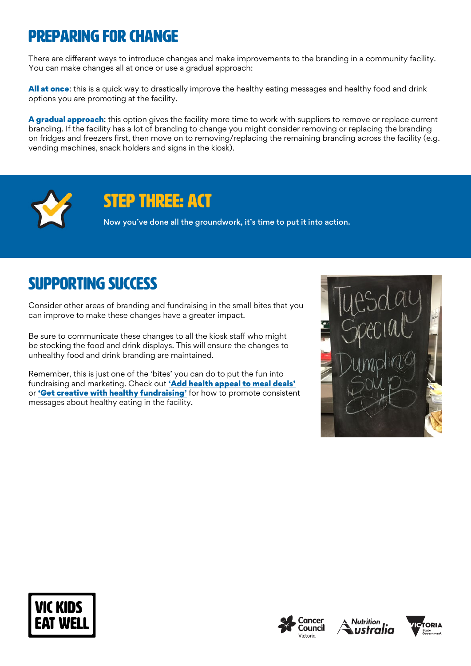## Preparing for change

There are different ways to introduce changes and make improvements to the branding in a community facility. You can make changes all at once or use a gradual approach:

All at once: this is a quick way to drastically improve the healthy eating messages and healthy food and drink options you are promoting at the facility.

A gradual approach: this option gives the facility more time to work with suppliers to remove or replace current branding. If the facility has a lot of branding to change you might consider removing or replacing the branding on fridges and freezers first, then move on to removing/replacing the remaining branding across the facility (e.g. vending machines, snack holders and signs in the kiosk).



## STEP THREE: ACT

Now you've done all the groundwork, it's time to put it into action.

### Supporting success

Consider other areas of branding and fundraising in the small bites that you can improve to make these changes have a greater impact.

Be sure to communicate these changes to all the kiosk staff who might be stocking the food and drink displays. This will ensure the changes to unhealthy food and drink branding are maintained.

Remember, this is just one of the 'bites' you can do to put the fun into fundraising and marketing. Check out ['Add health appeal to meal deals'](https://www.vickidseatwell.health.vic.gov.au/resources) or ['Get creative with healthy fundraising'](https://www.vickidseatwell.health.vic.gov.au/resources) for how to promote consistent messages about healthy eating in the facility.